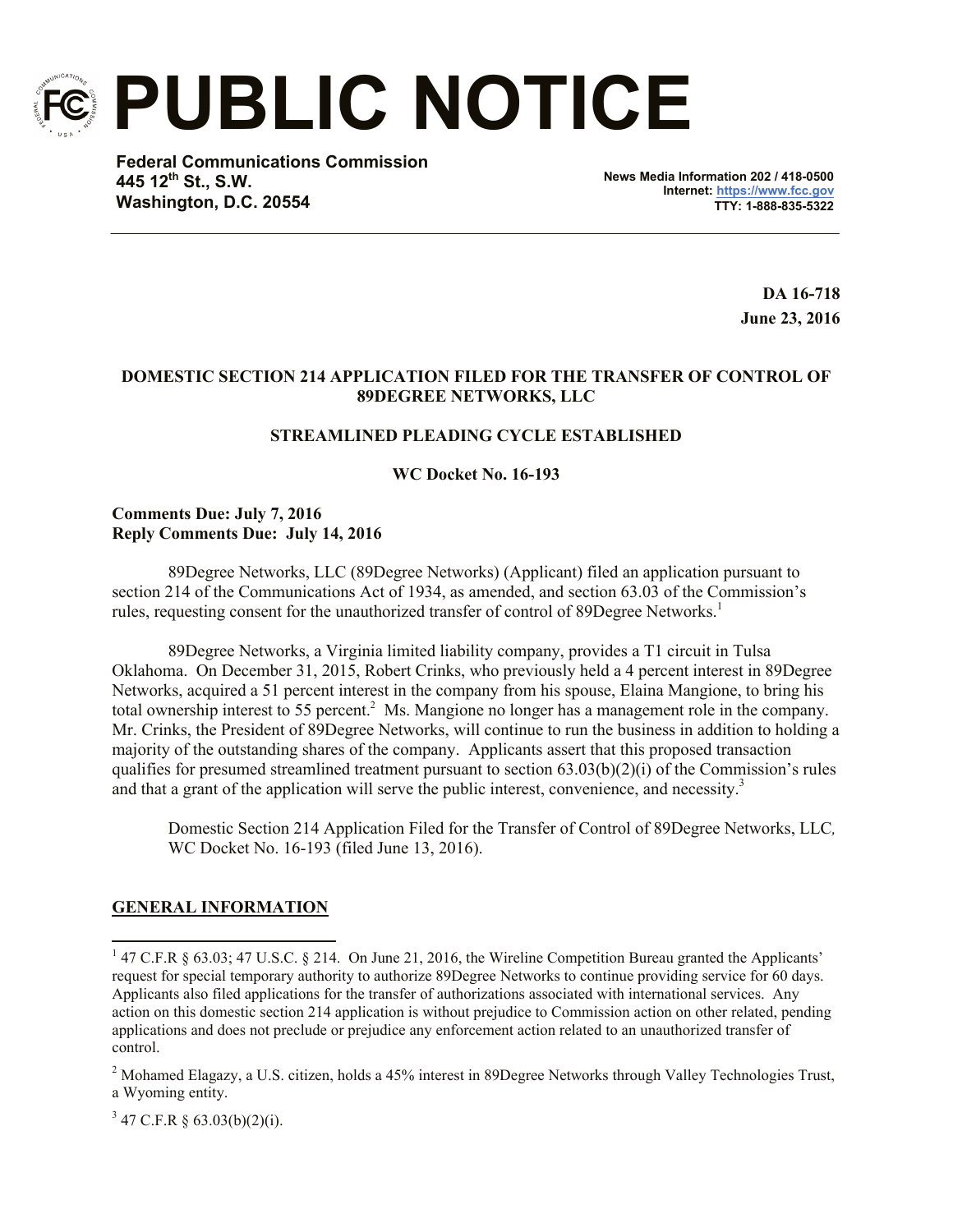

**PUBLIC NOTICE**

**Federal Communications Commission 445 12th St., S.W. Washington, D.C. 20554**

**News Media Information 202 / 418-0500 Internet: https://www.fcc.gov TTY: 1-888-835-5322**

> **DA 16-718 June 23, 2016**

# **DOMESTIC SECTION 214 APPLICATION FILED FOR THE TRANSFER OF CONTROL OF 89DEGREE NETWORKS, LLC**

# **STREAMLINED PLEADING CYCLE ESTABLISHED**

**WC Docket No. 16-193**

# **Comments Due: July 7, 2016 Reply Comments Due: July 14, 2016**

89Degree Networks, LLC (89Degree Networks) (Applicant) filed an application pursuant to section 214 of the Communications Act of 1934, as amended, and section 63.03 of the Commission's rules, requesting consent for the unauthorized transfer of control of 89Degree Networks.<sup>1</sup>

89Degree Networks, a Virginia limited liability company, provides a T1 circuit in Tulsa Oklahoma. On December 31, 2015, Robert Crinks, who previously held a 4 percent interest in 89Degree Networks, acquired a 51 percent interest in the company from his spouse, Elaina Mangione, to bring his total ownership interest to 55 percent.<sup>2</sup> Ms. Mangione no longer has a management role in the company. Mr. Crinks, the President of 89Degree Networks, will continue to run the business in addition to holding a majority of the outstanding shares of the company. Applicants assert that this proposed transaction qualifies for presumed streamlined treatment pursuant to section 63.03(b)(2)(i) of the Commission's rules and that a grant of the application will serve the public interest, convenience, and necessity.<sup>3</sup>

Domestic Section 214 Application Filed for the Transfer of Control of 89Degree Networks, LLC*,*  WC Docket No. 16-193 (filed June 13, 2016).

# **GENERAL INFORMATION**

 $\overline{\phantom{a}}$ 

 $3\,47$  C.F.R § 63.03(b)(2)(i).

<sup>&</sup>lt;sup>1</sup> 47 C.F.R § 63.03; 47 U.S.C. § 214. On June 21, 2016, the Wireline Competition Bureau granted the Applicants' request for special temporary authority to authorize 89Degree Networks to continue providing service for 60 days. Applicants also filed applications for the transfer of authorizations associated with international services. Any action on this domestic section 214 application is without prejudice to Commission action on other related, pending applications and does not preclude or prejudice any enforcement action related to an unauthorized transfer of control.

<sup>&</sup>lt;sup>2</sup> Mohamed Elagazy, a U.S. citizen, holds a 45% interest in 89Degree Networks through Valley Technologies Trust, a Wyoming entity.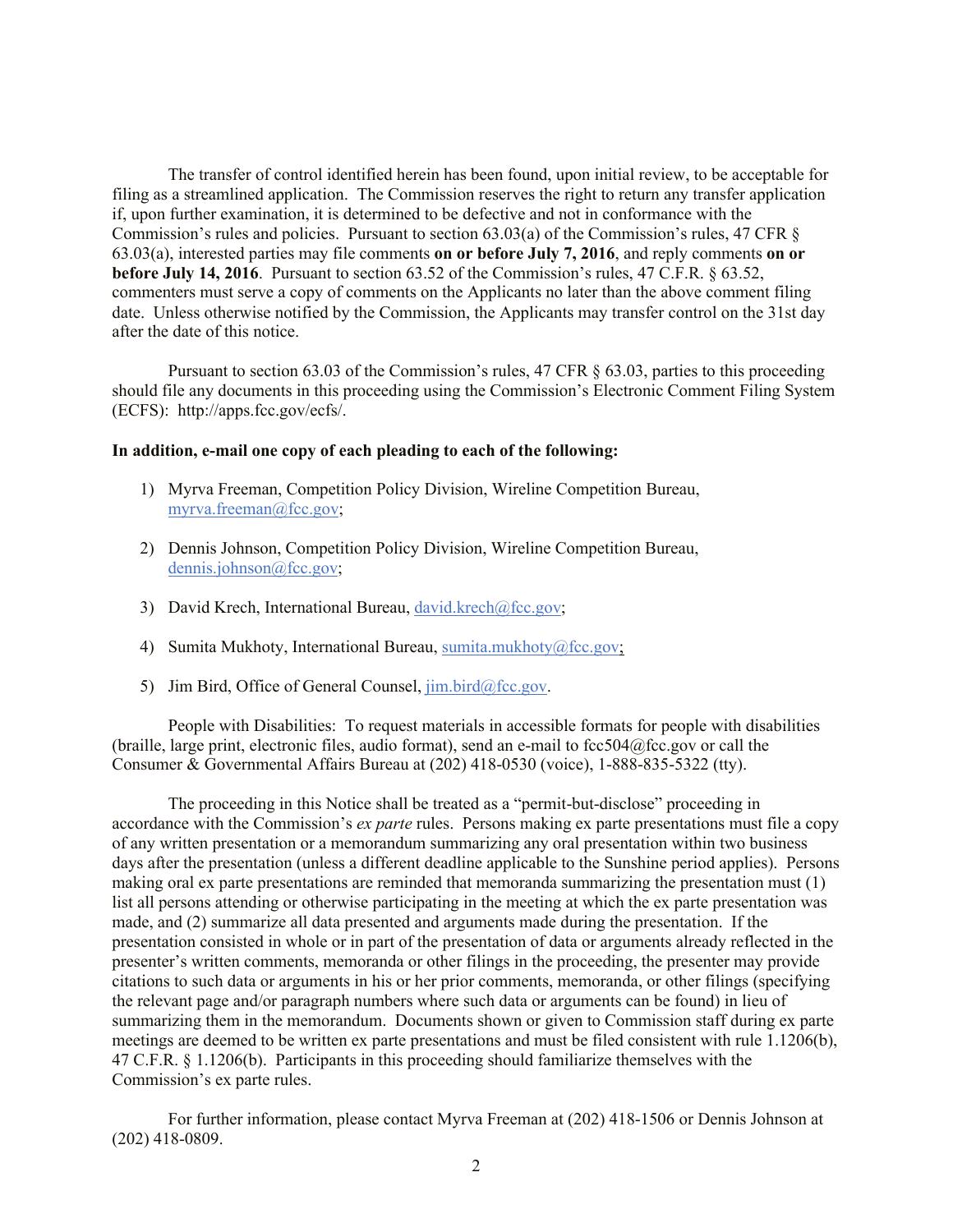The transfer of control identified herein has been found, upon initial review, to be acceptable for filing as a streamlined application. The Commission reserves the right to return any transfer application if, upon further examination, it is determined to be defective and not in conformance with the Commission's rules and policies. Pursuant to section 63.03(a) of the Commission's rules, 47 CFR § 63.03(a), interested parties may file comments **on or before July 7, 2016**, and reply comments **on or before July 14, 2016**. Pursuant to section 63.52 of the Commission's rules, 47 C.F.R. § 63.52, commenters must serve a copy of comments on the Applicants no later than the above comment filing date. Unless otherwise notified by the Commission, the Applicants may transfer control on the 31st day after the date of this notice.

Pursuant to section 63.03 of the Commission's rules, 47 CFR § 63.03, parties to this proceeding should file any documents in this proceeding using the Commission's Electronic Comment Filing System (ECFS): http://apps.fcc.gov/ecfs/.

#### **In addition, e-mail one copy of each pleading to each of the following:**

- 1) Myrva Freeman, Competition Policy Division, Wireline Competition Bureau, myrva.freeman@fcc.gov;
- 2) Dennis Johnson, Competition Policy Division, Wireline Competition Bureau, dennis.johnson@fcc.gov;
- 3) David Krech, International Bureau, david.krech@fcc.gov;
- 4) Sumita Mukhoty, International Bureau, sumita.mukhoty@fcc.gov;
- 5) Jim Bird, Office of General Counsel,  $\lim_{h \to 0} \frac{\text{bird}}{\text{det}}$

People with Disabilities: To request materials in accessible formats for people with disabilities (braille, large print, electronic files, audio format), send an e-mail to  $fcc504@$ fcc.gov or call the Consumer & Governmental Affairs Bureau at (202) 418-0530 (voice), 1-888-835-5322 (tty).

The proceeding in this Notice shall be treated as a "permit-but-disclose" proceeding in accordance with the Commission's *ex parte* rules. Persons making ex parte presentations must file a copy of any written presentation or a memorandum summarizing any oral presentation within two business days after the presentation (unless a different deadline applicable to the Sunshine period applies). Persons making oral ex parte presentations are reminded that memoranda summarizing the presentation must (1) list all persons attending or otherwise participating in the meeting at which the ex parte presentation was made, and (2) summarize all data presented and arguments made during the presentation. If the presentation consisted in whole or in part of the presentation of data or arguments already reflected in the presenter's written comments, memoranda or other filings in the proceeding, the presenter may provide citations to such data or arguments in his or her prior comments, memoranda, or other filings (specifying the relevant page and/or paragraph numbers where such data or arguments can be found) in lieu of summarizing them in the memorandum. Documents shown or given to Commission staff during ex parte meetings are deemed to be written ex parte presentations and must be filed consistent with rule 1.1206(b), 47 C.F.R. § 1.1206(b). Participants in this proceeding should familiarize themselves with the Commission's ex parte rules.

For further information, please contact Myrva Freeman at (202) 418-1506 or Dennis Johnson at (202) 418-0809.